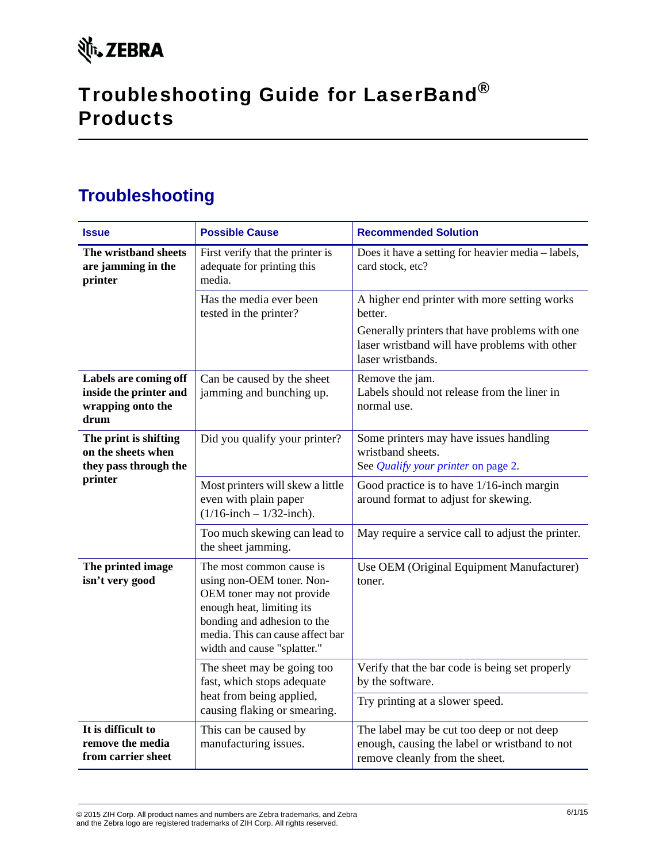# Troubleshooting Guide for LaserBand® Products

## **Troubleshooting**

| <b>Issue</b>                                                                    | <b>Possible Cause</b>                                                                                                                                                                                             | <b>Recommended Solution</b>                                                                                                                                                     |
|---------------------------------------------------------------------------------|-------------------------------------------------------------------------------------------------------------------------------------------------------------------------------------------------------------------|---------------------------------------------------------------------------------------------------------------------------------------------------------------------------------|
| The wristband sheets<br>are jamming in the<br>printer                           | First verify that the printer is<br>adequate for printing this<br>media.                                                                                                                                          | Does it have a setting for heavier media - labels,<br>card stock, etc?                                                                                                          |
|                                                                                 | Has the media ever been<br>tested in the printer?                                                                                                                                                                 | A higher end printer with more setting works<br>better.<br>Generally printers that have problems with one<br>laser wristband will have problems with other<br>laser wristbands. |
| Labels are coming off<br>inside the printer and<br>wrapping onto the<br>drum    | Can be caused by the sheet<br>jamming and bunching up.                                                                                                                                                            | Remove the jam.<br>Labels should not release from the liner in<br>normal use.                                                                                                   |
| The print is shifting<br>on the sheets when<br>they pass through the<br>printer | Did you qualify your printer?                                                                                                                                                                                     | Some printers may have issues handling<br>wristband sheets.<br>See <i>Qualify your printer</i> on page 2.                                                                       |
|                                                                                 | Most printers will skew a little<br>even with plain paper<br>$(1/16$ -inch – $1/32$ -inch).                                                                                                                       | Good practice is to have 1/16-inch margin<br>around format to adjust for skewing.                                                                                               |
|                                                                                 | Too much skewing can lead to<br>the sheet jamming.                                                                                                                                                                | May require a service call to adjust the printer.                                                                                                                               |
| The printed image<br>isn't very good                                            | The most common cause is<br>using non-OEM toner. Non-<br>OEM toner may not provide<br>enough heat, limiting its<br>bonding and adhesion to the<br>media. This can cause affect bar<br>width and cause "splatter." | Use OEM (Original Equipment Manufacturer)<br>toner.                                                                                                                             |
|                                                                                 | The sheet may be going too<br>fast, which stops adequate<br>heat from being applied,<br>causing flaking or smearing.                                                                                              | Verify that the bar code is being set properly<br>by the software.                                                                                                              |
|                                                                                 |                                                                                                                                                                                                                   | Try printing at a slower speed.                                                                                                                                                 |
| It is difficult to<br>remove the media<br>from carrier sheet                    | This can be caused by<br>manufacturing issues.                                                                                                                                                                    | The label may be cut too deep or not deep<br>enough, causing the label or wristband to not<br>remove cleanly from the sheet.                                                    |